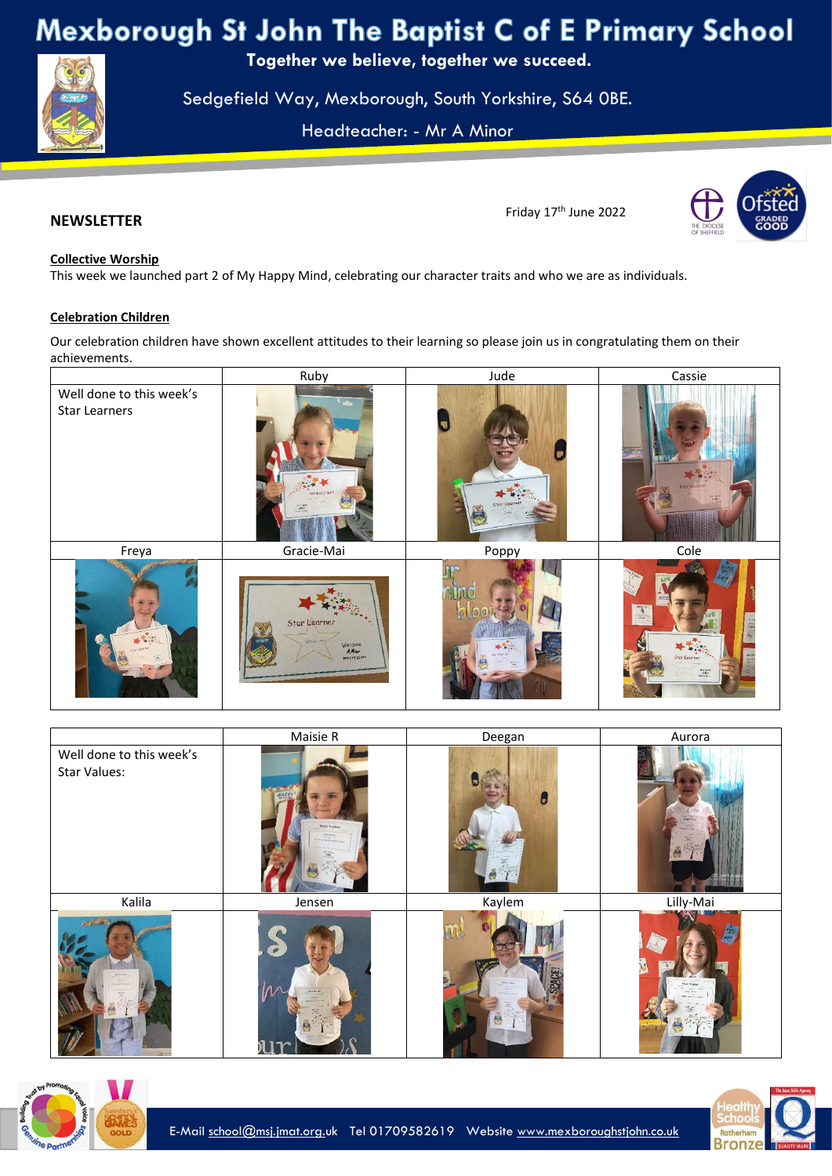Mexborough St John The Baptist C of E Primary School

**Together we believe, together we succeed.**

Sedgefield Way, Mexborough, South Yorkshire, S64 0BE.

Headteacher: - Mr A Minor

## **NEWSLETTER**

# Friday 17 th June 2022



## **Collective Worship**

 $\mathbb{Z}^N$  and  $\mathbb{Z}^N$ 

This week we launched part 2 of My Happy Mind, celebrating our character traits and who we are as individuals.

## **Celebration Children**

Our celebration children have shown excellent attitudes to their learning so please join us in congratulating them on their achievements.

|                                                  | Ruby                                 | Jude  | Cassie                                                                 |
|--------------------------------------------------|--------------------------------------|-------|------------------------------------------------------------------------|
| Well done to this week's<br><b>Star Learners</b> |                                      | Star  |                                                                        |
| Freya                                            | Gracie-Mai                           | Poppy | Cole                                                                   |
| 大学                                               | Star Learner<br>Wert done<br>A. Mise |       | Selacul<br>II.<br>Stor Learner<br>$\frac{\omega_1 \pm \omega_1}{4E_m}$ |

|                                          | Maisie R                      | Deegan | Aurora    |
|------------------------------------------|-------------------------------|--------|-----------|
| Well done to this week's<br>Star Values: | Most Votte<br><b>This you</b> | L      |           |
| Kalila                                   | Jensen                        | Kaylem | Lilly-Mai |
|                                          | Л<br>1r                       |        |           |